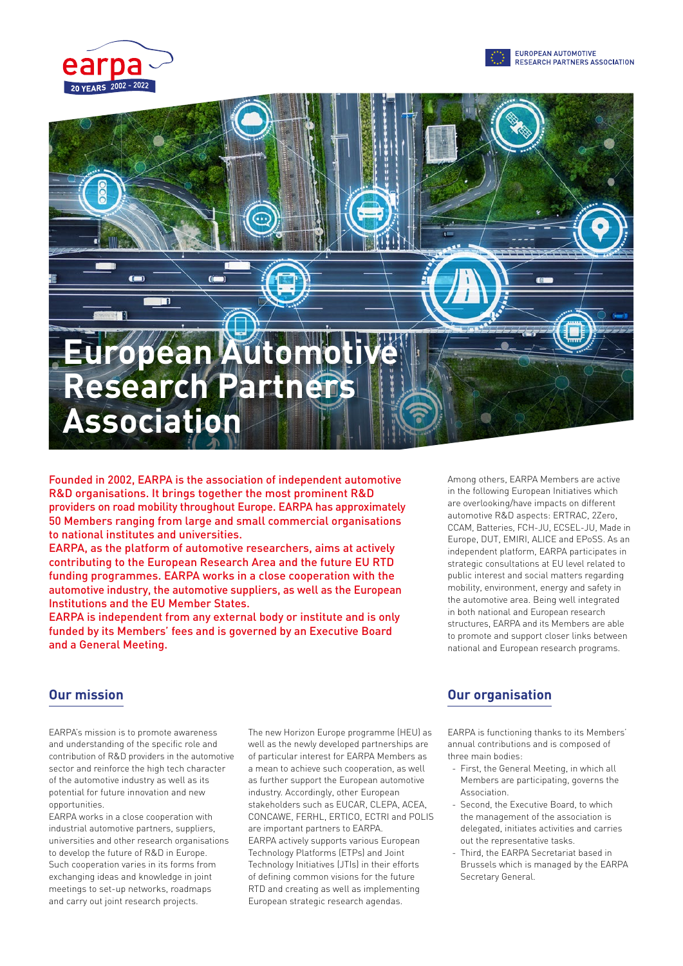





Founded in 2002, EARPA is the association of independent automotive R&D organisations. It brings together the most prominent R&D providers on road mobility throughout Europe. EARPA has approximately 50 Members ranging from large and small commercial organisations to national institutes and universities.

EARPA, as the platform of automotive researchers, aims at actively contributing to the European Research Area and the future EU RTD funding programmes. EARPA works in a close cooperation with the automotive industry, the automotive suppliers, as well as the European Institutions and the EU Member States.

EARPA is independent from any external body or institute and is only funded by its Members' fees and is governed by an Executive Board and a General Meeting.

Among others, EARPA Members are active in the following European Initiatives which are overlooking/have impacts on different automotive R&D aspects: ERTRAC, 2Zero, CCAM, Batteries, FCH-JU, ECSEL-JU, Made in Europe, DUT, EMIRI, ALICE and EPoSS. As an independent platform, EARPA participates in strategic consultations at EU level related to public interest and social matters regarding mobility, environment, energy and safety in the automotive area. Being well integrated in both national and European research structures, EARPA and its Members are able to promote and support closer links between national and European research programs.

EARPA's mission is to promote awareness and understanding of the specific role and contribution of R&D providers in the automotive sector and reinforce the high tech character of the automotive industry as well as its potential for future innovation and new opportunities.

EARPA works in a close cooperation with industrial automotive partners, suppliers, universities and other research organisations to develop the future of R&D in Europe. Such cooperation varies in its forms from exchanging ideas and knowledge in joint meetings to set-up networks, roadmaps and carry out joint research projects.

The new Horizon Europe programme (HEU) as well as the newly developed partnerships are of particular interest for EARPA Members as a mean to achieve such cooperation, as well as further support the European automotive industry. Accordingly, other European stakeholders such as EUCAR, CLEPA, ACEA, CONCAWE, FERHL, ERTICO, ECTRI and POLIS are important partners to EARPA. EARPA actively supports various European Technology Platforms (ETPs) and Joint Technology Initiatives (JTIs) in their efforts of defining common visions for the future RTD and creating as well as implementing European strategic research agendas.

## **Our mission Our organisation**

EARPA is functioning thanks to its Members' annual contributions and is composed of three main bodies:

- First, the General Meeting, in which all Members are participating, governs the Association.
- Second, the Executive Board, to which the management of the association is delegated, initiates activities and carries out the representative tasks.
- Third, the EARPA Secretariat based in Brussels which is managed by the EARPA Secretary General.